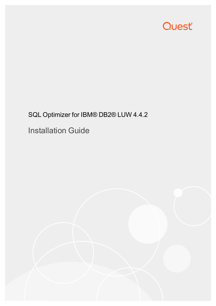# Quest®

# SQL Optimizer for IBM® DB2® LUW 4.4.2 Installation Guide

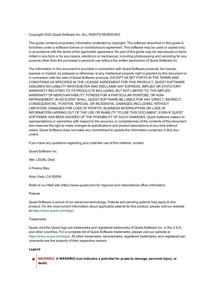Copyright 2020 Quest Software Inc. ALL RIGHTS RESERVED.

This guide contains proprietary information protected by copyright. The software described in this guide is furnished under a software license or nondisclosure agreement. This software may be used or copied only in accordance with the terms of the applicable agreement. No part of this guide may be reproduced or transmitted in any form or by any means, electronic or mechanical, including photocopying and recording for any purpose other than the purchaser's personal use without the written permission of Quest Software Inc.

The information in this document is provided in connection with Quest Software products. No license, express or implied, by estoppel or otherwise, to any intellectual property right is granted by this document or in connection with the sale of Quest Software products. EXCEPT AS SET FORTH IN THE TERMS AND CONDITIONS AS SPECIFIED IN THE LICENSE AGREEMENT FOR THIS PRODUCT, QUEST SOFTWARE ASSUMES NO LIABILITY WHATSOEVER AND DISCLAIMS ANY EXPRESS, IMPLIED OR STATUTORY WARRANTY RELATING TO ITS PRODUCTS INCLUDING, BUT NOT LIMITED TO, THE IMPLIED WARRANTY OF MERCHANTABILITY, FITNESS FOR A PARTICULAR PURPOSE, OR NON-INFRINGEMENT. IN NO EVENT SHALL QUEST SOFTWARE BE LIABLE FOR ANY DIRECT, INDIRECT, CONSEQUENTIAL, PUNITIVE, SPECIAL OR INCIDENTAL DAMAGES (INCLUDING, WITHOUT LIMITATION, DAMAGES FOR LOSS OF PROFITS, BUSINESS INTERRUPTION OR LOSS OF INFORMATION) ARISING OUT OF THE USE OR INABILITY TO USE THIS DOCUMENT, EVEN IF QUEST SOFTWARE HAS BEEN ADVISED OF THE POSSIBILITY OF SUCH DAMAGES. Quest Software makes no representations or warranties with respect to the accuracy or completeness of the contents of this document and reserves the right to make changes to specifications and product descriptions at any time without notice. Quest Software does not make any commitment to update the information contained in this document.

If you have any questions regarding your potential use of this material, contact:

Quest Software Inc.

Attn: LEGAL Dept

4 Polaris Way

Aliso Viejo, CA 92656

Refer to our Web site (https://www.quest.com) for regional and international office information.

**Patents** 

Quest Software is proud of our advanced technology. Patents and pending patents may apply to this product. For the most current information about applicable patents for this product, please visit our website at <https://www.quest.com/legal>.

#### **Trademarks**

Quest, and the Quest logo are trademarks and registered trademarks of Quest Software Inc. in the U.S.A. and other countries. For a complete list of Quest Software trademarks, please visit our website at [https://www.quest.com/legal.](https://www.quest.com/legal) All other trademarks, servicemarks, registered trademarks, and registered servicemarks are the property of their respective owners.

#### **Legend**

**WARNING: A WARNING icon indicates a potential for property damage, personal injury, or death.**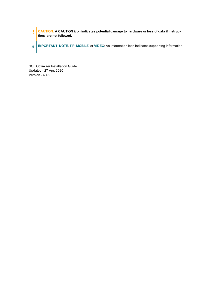**CAUTION: A CAUTION icon indicates potential damage to hardware or loss of data if instruc**ţ **tions are not followed. IMPORTANT**, **NOTE**, **TIP**, **MOBILE**, or **VIDEO**: An information icon indicates supporting information. i.

SQL Optimizer Installation Guide Updated - 27 Apr, 2020 Version - 4.4.2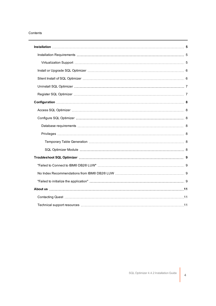#### Contents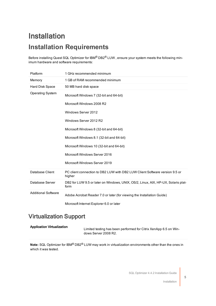# <span id="page-4-1"></span><span id="page-4-0"></span>Installation **Installation Requirements**

Before installing Quest SQL Optimizer for IBM® DB2® LUW, ensure your system meets the following minimum hardware and software requirements:

| Platform                   | 1 GHz recommended minimum                                                                 |
|----------------------------|-------------------------------------------------------------------------------------------|
| Memory                     | 1 GB of RAM recommended minimum                                                           |
| Hard Disk Space            | 50 MB hard disk space                                                                     |
| <b>Operating System</b>    | Microsoft Windows 7 (32-bit and 64-bit)                                                   |
|                            | Microsoft Windows 2008 R2                                                                 |
|                            | Windows Server 2012                                                                       |
|                            | Windows Server 2012 R2                                                                    |
|                            | Microsoft Windows 8 (32-bit and 64-bit)                                                   |
|                            | Microsoft Windows 8.1 (32-bit and 64-bit)                                                 |
|                            | Microsoft Windows 10 (32-bit and 64-bit)                                                  |
|                            | Microsoft Windows Server 2016                                                             |
|                            | Microsoft Windows Server 2019                                                             |
| Database Client            | PC client connection to DB2 LUW with DB2 LUW Client Software version 9.5 or<br>higher     |
| Database Server            | DB2 for LUW 9.5 or later on Windows, UNIX, OS/2, Linux, AIX, HP-UX, Solaris plat-<br>form |
| <b>Additional Software</b> | Adobe Acrobat Reader 7.0 or later (for viewing the Installation Guide)                    |
|                            | Microsoft Internet Explorer 6.0 or later                                                  |

### <span id="page-4-2"></span>Virtualization Support

| <b>Application Virtualization</b> | Limited testing has been performed for Citrix XenApp 6.5 on Win- |
|-----------------------------------|------------------------------------------------------------------|
|                                   | dows Server 2008 R2.                                             |

**Note:** SQL Optimizer for IBM® DB2® LUW may work in virtualization environments other than the ones in which it was tested.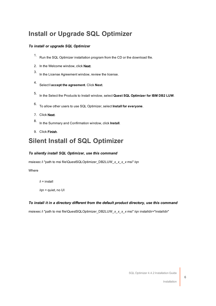### <span id="page-5-0"></span>**Install or Upgrade SQL Optimizer**

#### *To install or upgrade SQL Optimizer*

- 1. Run the SQL Optimizer installation program from the CD or the download file.
- 2. In the Welcome window, click Next.
- 3. In the License Agreement window, review the license.
- 4. Select **<sup>I</sup> accept the agreement**. Click **Next**.
- 5. In the Select the Products to Install window, select **Quest SQL Optimizer for IBM DB2 LUW**.
- 6. To allow other users to use SQL Optimizer, select **Install for everyone**.
- 7. Click Next.
- 8. In the Summary and Confirmation window, click **Install**.
- <span id="page-5-1"></span>9. Click Finish.

### **Silent Install of SQL Optimizer**

#### *To silently install SQL Optimizer, use this command*

msiexec /i "path to msi file\QuestSQLOptimizer\_DB2LUW\_*x\_x\_x\_x* msi" /qn

#### Where

 $/i =$  install

/qn = quiet, no UI

#### *To install it in a directory different from the default product directory, use this command*

msiexec /i "path to msi file\QuestSQLOptimizer\_DB2LUW\_*x\_x\_x\_x* msi" /qn installdir="installdir"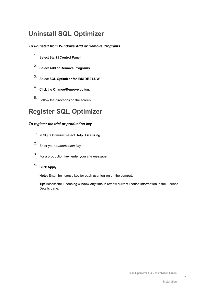### <span id="page-6-0"></span>**Uninstall SQL Optimizer**

#### *To uninstall from Windows Add or Remove Programs*

- 1. Select **Start <sup>|</sup> Control Panel**.
- 2. Select **Add or Remove Programs**.
- 3. Select **SQL Optimizer for IBM DB2 LUW**.
- 4. Click the **Change/Remove** button.
- <span id="page-6-1"></span>5. Follow the directions on the screen.

### **Register SQL Optimizer**

#### *To register the trial or production key*

- 1. In SQL Optimizer, select **Help | Licensing**.
- 2. Enter your *authorization key*.
- 3. For a production key, enter your *site message*.
- 4. Click **Apply**.

**Note:** Enter the license key for each user log-on on the computer.

**Tip:** Access the Licensing window any time to review current license information in the License Details pane.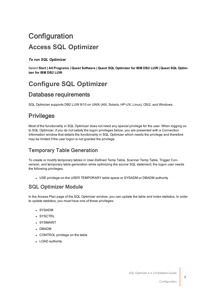# <span id="page-7-1"></span><span id="page-7-0"></span>**Configuration Access SQL Optimizer**

*To run SQL Optimizer*

Select Start | All Programs | Quest Software | Quest SQL Optimizer for IBM DB2 LUW | Quest SQL Optim**izer for IBM DB2 LUW**.

### <span id="page-7-3"></span><span id="page-7-2"></span>**Configure SQL Optimizer**

### Database requirements

<span id="page-7-4"></span>SQL Optimizer supports DB2 LUW 9/10 on UNIX (AIX, Solaris, HP-UX, Linux), OS/2, and Windows.

### **Privileges**

Most of the functionality in SQL Optimizer does not need any special privilege for the user. When logging on to SQL Optimizer, if you do not satisfy the logon privileges below, you are presented with a Connection Information window that details the functionality in SQL Optimizer which needs the privilege and therefore may be limited if the user logon is not granted the privilege.

### <span id="page-7-5"></span>Temporary Table Generation

To create or modify temporary tables in User-Defined Temp Table, Scanner Temp Table, Trigger Conversion, and temporary table generation while optimizing the source SQL statement, the logon user needs the following privileges:

• USE privilege on the USER TEMPORARY table space or SYSADM or DBADM authority

### <span id="page-7-6"></span>SQL Optimizer Module

In the Access Plan page of the SQL Optimizer window, you can update the table and index statistics. In order to update statistics, you must have one of these privileges:

- <sup>l</sup> SYSADM
- **.** SYSCTRL
- **.** SYSMAINT
- <sup>l</sup> DBADM
- CONTROL privilege on the table
- LOAD authority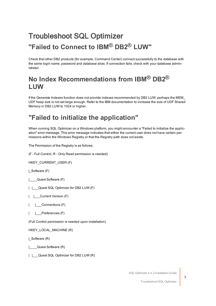## <span id="page-8-1"></span><span id="page-8-0"></span>Troubleshoot SQL Optimizer **"Failed to Connect to IBM® DB2® LUW"**

Check that other DB2 products (for example, Command Center) connect successfully to the database with the same login name, password and database alias. If connection fails, check with your database administrator.

### <span id="page-8-2"></span>**No Index Recommendations from IBM® DB2® LUW**

If the Generate Indexes function does not provide indexes recommended by DB2 LUW, perhaps the MEM\_ UDF heap size is not set large enough. Refer to the IBM documentation to increase the size of UDF Shared Memory in DB2 LUW to 1024 or higher.

### <span id="page-8-3"></span>**"Failed to initialize the application"**

When running SQL Optimizer on a Windows platform, you might encounter a "Failed to initialize the application" error message. This error message indicates that either the current user does not have certain permissions within the Windows Registry or that the Registry path does not exists.

The Permission of the Registry is as follows:

(F - Full Control, R - Only Read permission is needed)

HKEY\_CURRENT\_USER (F)

|\_Software (F)

|\_\_\_\_Quest Software (F)

|  $\Box$  Quest SQL Optimizer for DB2 LUW (F)

| | Current Version (F)

| | Connections (F)

| | Preferences (F)

(Full Control permission is needed upon installation)

HKEY\_LOCAL\_MACHINE (R)

| Software (R)

|\_\_\_\_Quest Software (R)

| | Quest SQL Optimizer for DB2 LUW (R)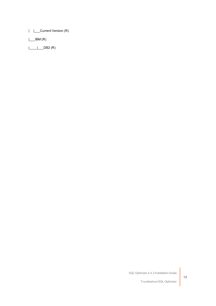| | Current Version (R)

 $\Box$ IBM  $(R)$ 

|\_\_\_\_|\_\_\_DB2 (R)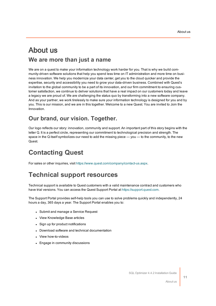### <span id="page-10-0"></span>About us **We are more than just a name**

We are on a quest to make your information technology work harder for you. That is why we build community-driven software solutions that help you spend less time on IT administration and more time on business innovation. We help you modernize your data center, get you to the cloud quicker and provide the expertise, security and accessibility you need to grow your data-driven business. Combined with Quest's invitation to the global community to be a part of its innovation, and our firm commitment to ensuring customer satisfaction, we continue to deliver solutions that have a real impact on our customers today and leave a legacy we are proud of. We are challenging the status quo by transforming into a new software company. And as your partner, we work tirelessly to make sure your information technology is designed for you and by you. This is our mission, and we are in this together. Welcome to a new Quest. You are invited to Join the Innovation.

### **Our brand, our vision. Together.**

Our logo reflects our story: innovation, community and support. An important part of this story begins with the letter Q. It is a perfect circle, representing our commitment to technological precision and strength. The space in the Q itself symbolizes our need to add the missing piece — you — to the community, to the new Quest.

### <span id="page-10-1"></span>**Contacting Quest**

<span id="page-10-2"></span>For sales or other inquiries, visit <https://www.quest.com/company/contact-us.aspx>.

### **Technical support resources**

Technical support is available to Quest customers with a valid maintenance contract and customers who have trial versions. You can access the Quest Support Portal at [https://support.quest.com](https://support.quest.com/).

The Support Portal provides self-help tools you can use to solve problems quickly and independently, 24 hours a day, 365 days a year. The Support Portal enables you to:

- Submit and manage a Service Request
- View Knowledge Base articles
- Sign up for product notifications
- Download software and technical documentation
- View how-to-videos
- Engage in community discussions